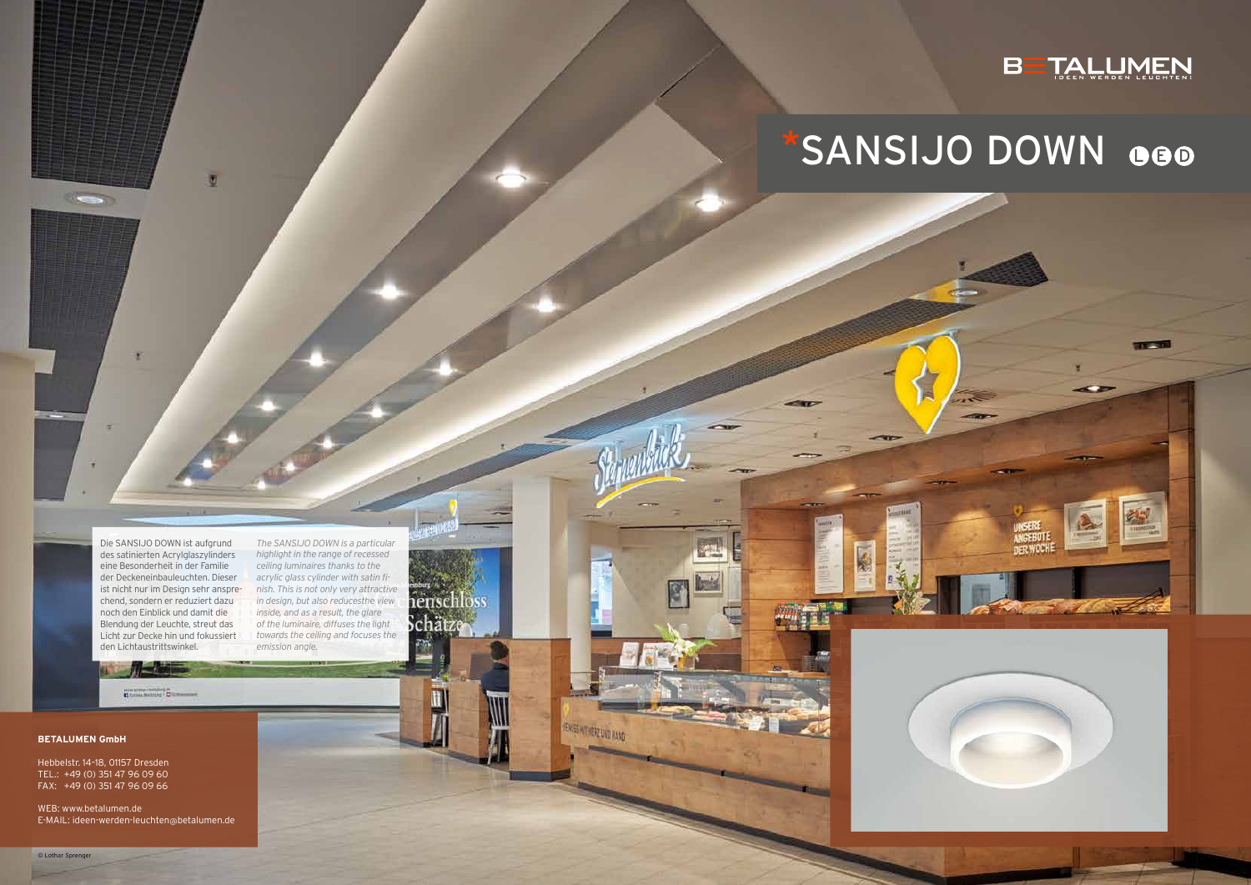R

Die SANSIJO DOWN ist aufgrund des satinierten Acrylglaszylinders eine Besonderheit in der Familie der Deckeneinbauleuchten. Dieser ist nicht nur im Design sehr ansprechend, sondern er reduziert dazu noch den Einblick und damit die Blendung der Leuchte, streut das Licht zur Decke hin und fokussiert den Lichtaustrittswinkel.

 $\overline{u}$ 

*The SANSIJO DOWN is a particular highlight in the range of recessed ceiling luminaires thanks to the acrylic glass cylinder with satin finish. This is not only very attractive in design, but also reducesthe view inside, and as a result, the glare of the luminaire, diffuses the light towards the ceiling and focuses the emission angle.*

henschloss

SENCES MATHER2 UND HAND

schätz

# BETALLIMEN

# SANSIJO DOWN 000





### **BETALUMEN GmbH**

 $\sim$ 

Hebbelstr. 14–18, 01157 Dresden TEL.: +49 (0) 351 47 96 09 60 FAX: +49 (0) 351 47 96 09 66

WEB: www.betalumen.de E-MAIL: ideen-werden-leuchten@betalumen.de

**HAVE STORED CARDINALS**